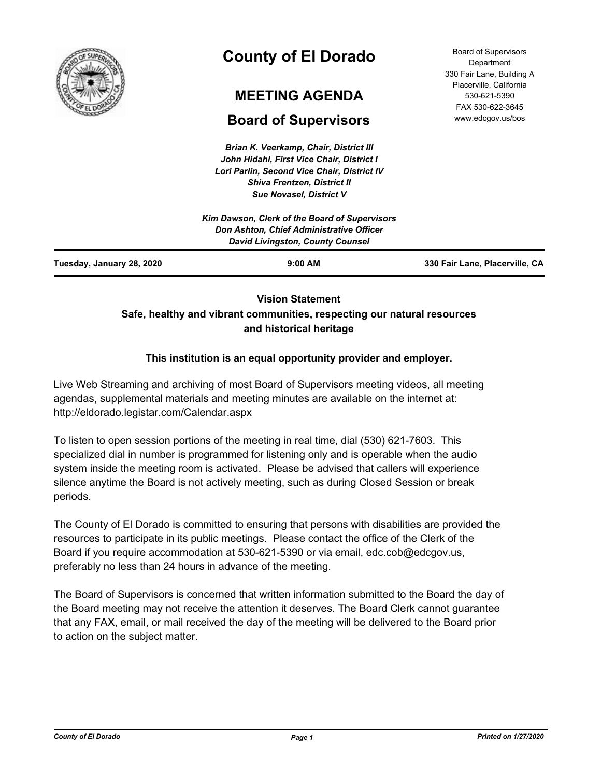

# **County of El Dorado**

## **MEETING AGENDA**

## **Board of Supervisors**

*Brian K. Veerkamp, Chair, District III John Hidahl, First Vice Chair, District I Lori Parlin, Second Vice Chair, District IV Shiva Frentzen, District II Sue Novasel, District V*

Board of Supervisors **Department** 330 Fair Lane, Building A Placerville, California 530-621-5390 FAX 530-622-3645 www.edcgov.us/bos

| Don Ashton, Chief Administrative Officer |                                         |
|------------------------------------------|-----------------------------------------|
|                                          |                                         |
| $9:00$ AM                                | 330 Fair Lane, Placerville, CA          |
|                                          | <b>David Livingston, County Counsel</b> |

## **Vision Statement Safe, healthy and vibrant communities, respecting our natural resources and historical heritage**

## **This institution is an equal opportunity provider and employer.**

Live Web Streaming and archiving of most Board of Supervisors meeting videos, all meeting agendas, supplemental materials and meeting minutes are available on the internet at: http://eldorado.legistar.com/Calendar.aspx

To listen to open session portions of the meeting in real time, dial (530) 621-7603. This specialized dial in number is programmed for listening only and is operable when the audio system inside the meeting room is activated. Please be advised that callers will experience silence anytime the Board is not actively meeting, such as during Closed Session or break periods.

The County of El Dorado is committed to ensuring that persons with disabilities are provided the resources to participate in its public meetings. Please contact the office of the Clerk of the Board if you require accommodation at 530-621-5390 or via email, edc.cob@edcgov.us, preferably no less than 24 hours in advance of the meeting.

The Board of Supervisors is concerned that written information submitted to the Board the day of the Board meeting may not receive the attention it deserves. The Board Clerk cannot guarantee that any FAX, email, or mail received the day of the meeting will be delivered to the Board prior to action on the subject matter.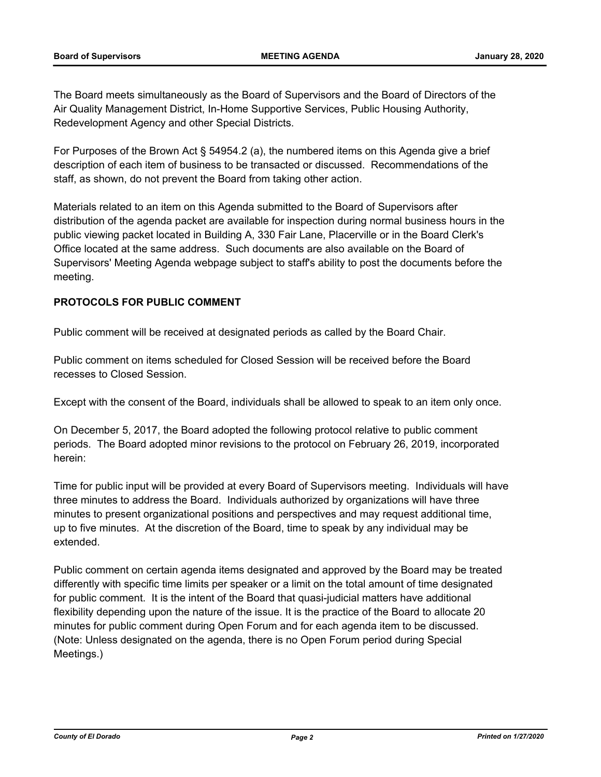The Board meets simultaneously as the Board of Supervisors and the Board of Directors of the Air Quality Management District, In-Home Supportive Services, Public Housing Authority, Redevelopment Agency and other Special Districts.

For Purposes of the Brown Act § 54954.2 (a), the numbered items on this Agenda give a brief description of each item of business to be transacted or discussed. Recommendations of the staff, as shown, do not prevent the Board from taking other action.

Materials related to an item on this Agenda submitted to the Board of Supervisors after distribution of the agenda packet are available for inspection during normal business hours in the public viewing packet located in Building A, 330 Fair Lane, Placerville or in the Board Clerk's Office located at the same address. Such documents are also available on the Board of Supervisors' Meeting Agenda webpage subject to staff's ability to post the documents before the meeting.

### **PROTOCOLS FOR PUBLIC COMMENT**

Public comment will be received at designated periods as called by the Board Chair.

Public comment on items scheduled for Closed Session will be received before the Board recesses to Closed Session.

Except with the consent of the Board, individuals shall be allowed to speak to an item only once.

On December 5, 2017, the Board adopted the following protocol relative to public comment periods. The Board adopted minor revisions to the protocol on February 26, 2019, incorporated herein:

Time for public input will be provided at every Board of Supervisors meeting. Individuals will have three minutes to address the Board. Individuals authorized by organizations will have three minutes to present organizational positions and perspectives and may request additional time, up to five minutes. At the discretion of the Board, time to speak by any individual may be extended.

Public comment on certain agenda items designated and approved by the Board may be treated differently with specific time limits per speaker or a limit on the total amount of time designated for public comment. It is the intent of the Board that quasi-judicial matters have additional flexibility depending upon the nature of the issue. It is the practice of the Board to allocate 20 minutes for public comment during Open Forum and for each agenda item to be discussed. (Note: Unless designated on the agenda, there is no Open Forum period during Special Meetings.)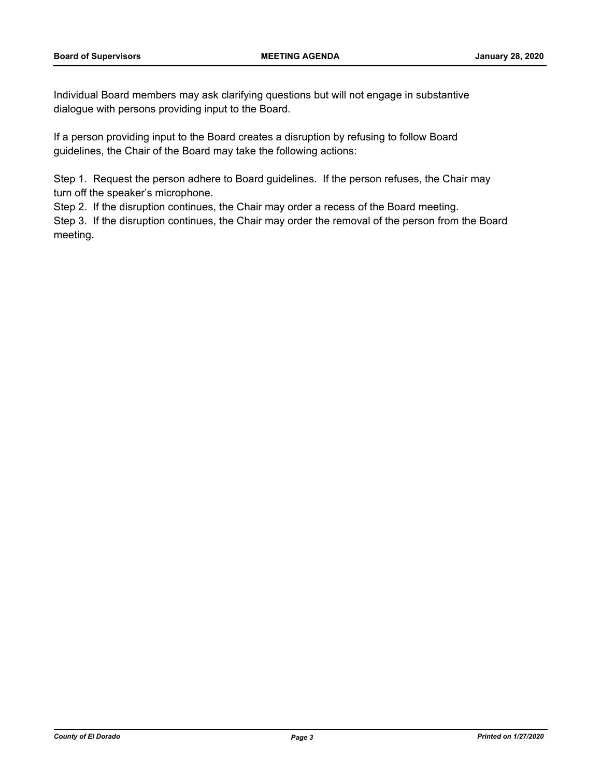Individual Board members may ask clarifying questions but will not engage in substantive dialogue with persons providing input to the Board.

If a person providing input to the Board creates a disruption by refusing to follow Board guidelines, the Chair of the Board may take the following actions:

Step 1. Request the person adhere to Board guidelines. If the person refuses, the Chair may turn off the speaker's microphone.

Step 2. If the disruption continues, the Chair may order a recess of the Board meeting.

Step 3. If the disruption continues, the Chair may order the removal of the person from the Board meeting.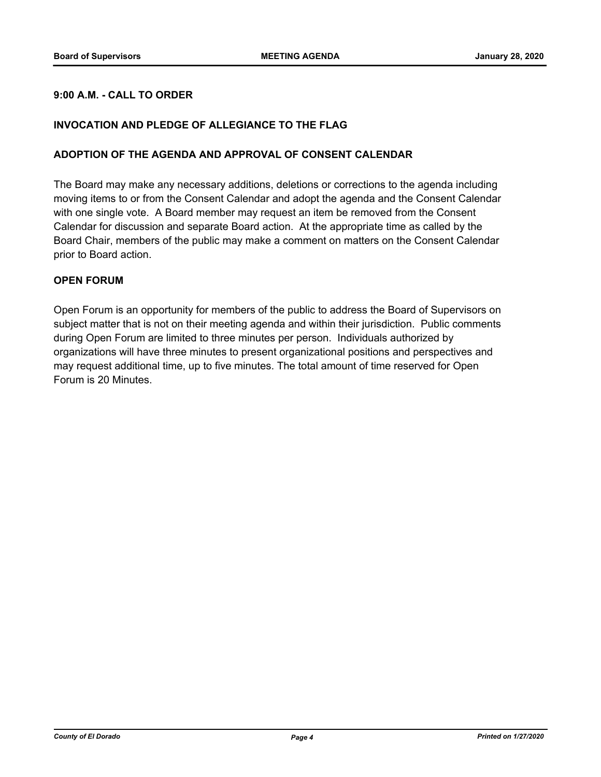### **9:00 A.M. - CALL TO ORDER**

#### **INVOCATION AND PLEDGE OF ALLEGIANCE TO THE FLAG**

#### **ADOPTION OF THE AGENDA AND APPROVAL OF CONSENT CALENDAR**

The Board may make any necessary additions, deletions or corrections to the agenda including moving items to or from the Consent Calendar and adopt the agenda and the Consent Calendar with one single vote. A Board member may request an item be removed from the Consent Calendar for discussion and separate Board action. At the appropriate time as called by the Board Chair, members of the public may make a comment on matters on the Consent Calendar prior to Board action.

#### **OPEN FORUM**

Open Forum is an opportunity for members of the public to address the Board of Supervisors on subject matter that is not on their meeting agenda and within their jurisdiction. Public comments during Open Forum are limited to three minutes per person. Individuals authorized by organizations will have three minutes to present organizational positions and perspectives and may request additional time, up to five minutes. The total amount of time reserved for Open Forum is 20 Minutes.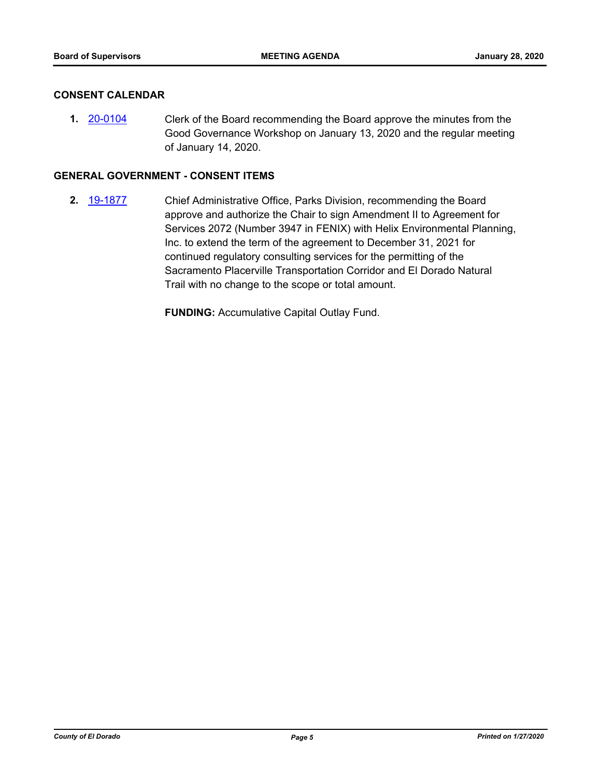#### **CONSENT CALENDAR**

**1.** [20-0104](http://eldorado.legistar.com/gateway.aspx?m=l&id=/matter.aspx?key=27309) Clerk of the Board recommending the Board approve the minutes from the Good Governance Workshop on January 13, 2020 and the regular meeting of January 14, 2020.

#### **GENERAL GOVERNMENT - CONSENT ITEMS**

**2.** [19-1877](http://eldorado.legistar.com/gateway.aspx?m=l&id=/matter.aspx?key=27201) Chief Administrative Office, Parks Division, recommending the Board approve and authorize the Chair to sign Amendment II to Agreement for Services 2072 (Number 3947 in FENIX) with Helix Environmental Planning, Inc. to extend the term of the agreement to December 31, 2021 for continued regulatory consulting services for the permitting of the Sacramento Placerville Transportation Corridor and El Dorado Natural Trail with no change to the scope or total amount.

**FUNDING:** Accumulative Capital Outlay Fund.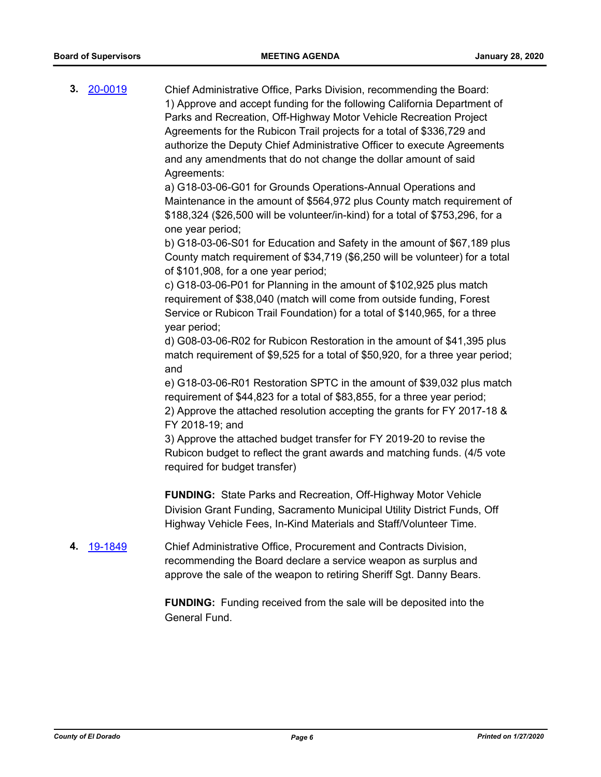**3.** [20-0019](http://eldorado.legistar.com/gateway.aspx?m=l&id=/matter.aspx?key=27223) Chief Administrative Office, Parks Division, recommending the Board: 1) Approve and accept funding for the following California Department of Parks and Recreation, Off-Highway Motor Vehicle Recreation Project Agreements for the Rubicon Trail projects for a total of \$336,729 and authorize the Deputy Chief Administrative Officer to execute Agreements and any amendments that do not change the dollar amount of said Agreements:

> a) G18-03-06-G01 for Grounds Operations-Annual Operations and Maintenance in the amount of \$564,972 plus County match requirement of \$188,324 (\$26,500 will be volunteer/in-kind) for a total of \$753,296, for a one year period;

> b) G18-03-06-S01 for Education and Safety in the amount of \$67,189 plus County match requirement of \$34,719 (\$6,250 will be volunteer) for a total of \$101,908, for a one year period;

c) G18-03-06-P01 for Planning in the amount of \$102,925 plus match requirement of \$38,040 (match will come from outside funding, Forest Service or Rubicon Trail Foundation) for a total of \$140,965, for a three year period;

d) G08-03-06-R02 for Rubicon Restoration in the amount of \$41,395 plus match requirement of \$9,525 for a total of \$50,920, for a three year period; and

e) G18-03-06-R01 Restoration SPTC in the amount of \$39,032 plus match requirement of \$44,823 for a total of \$83,855, for a three year period; 2) Approve the attached resolution accepting the grants for FY 2017-18 &

FY 2018-19; and

3) Approve the attached budget transfer for FY 2019-20 to revise the Rubicon budget to reflect the grant awards and matching funds. (4/5 vote required for budget transfer)

**FUNDING:** State Parks and Recreation, Off-Highway Motor Vehicle Division Grant Funding, Sacramento Municipal Utility District Funds, Off Highway Vehicle Fees, In-Kind Materials and Staff/Volunteer Time.

**4.** [19-1849](http://eldorado.legistar.com/gateway.aspx?m=l&id=/matter.aspx?key=27173) Chief Administrative Office, Procurement and Contracts Division, recommending the Board declare a service weapon as surplus and approve the sale of the weapon to retiring Sheriff Sgt. Danny Bears.

> **FUNDING:** Funding received from the sale will be deposited into the General Fund.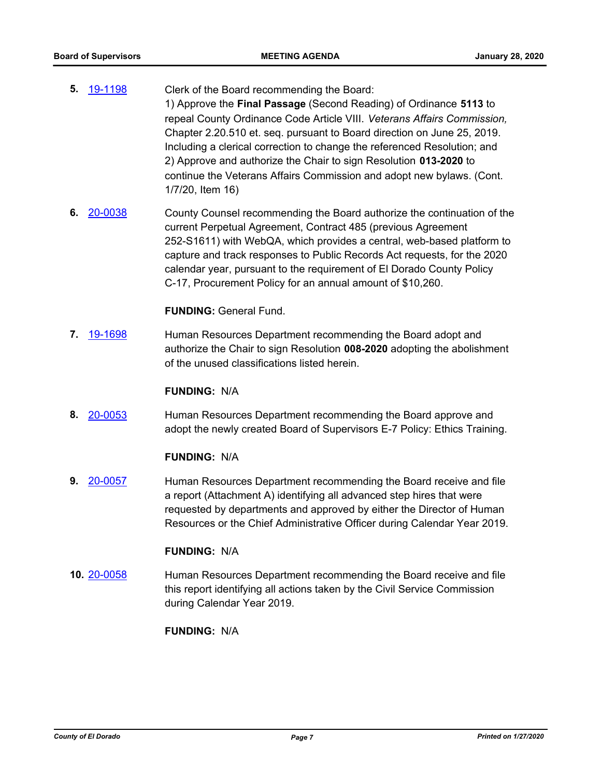- **5.** [19-1198](http://eldorado.legistar.com/gateway.aspx?m=l&id=/matter.aspx?key=26521) Clerk of the Board recommending the Board: 1) Approve the **Final Passage** (Second Reading) of Ordinance **5113** to repeal County Ordinance Code Article VIII. *Veterans Affairs Commission,*  Chapter 2.20.510 et. seq. pursuant to Board direction on June 25, 2019. Including a clerical correction to change the referenced Resolution; and 2) Approve and authorize the Chair to sign Resolution **013-2020** to continue the Veterans Affairs Commission and adopt new bylaws. (Cont. 1/7/20, Item 16)
- **6.** [20-0038](http://eldorado.legistar.com/gateway.aspx?m=l&id=/matter.aspx?key=27243) County Counsel recommending the Board authorize the continuation of the current Perpetual Agreement, Contract 485 (previous Agreement 252-S1611) with WebQA, which provides a central, web-based platform to capture and track responses to Public Records Act requests, for the 2020 calendar year, pursuant to the requirement of El Dorado County Policy C-17, Procurement Policy for an annual amount of \$10,260.

#### **FUNDING:** General Fund.

**7.** [19-1698](http://eldorado.legistar.com/gateway.aspx?m=l&id=/matter.aspx?key=27022) Human Resources Department recommending the Board adopt and authorize the Chair to sign Resolution **008-2020** adopting the abolishment of the unused classifications listed herein.

#### **FUNDING:** N/A

**8.** [20-0053](http://eldorado.legistar.com/gateway.aspx?m=l&id=/matter.aspx?key=27258) Human Resources Department recommending the Board approve and adopt the newly created Board of Supervisors E-7 Policy: Ethics Training.

#### **FUNDING:** N/A

**9.** [20-0057](http://eldorado.legistar.com/gateway.aspx?m=l&id=/matter.aspx?key=27262) Human Resources Department recommending the Board receive and file a report (Attachment A) identifying all advanced step hires that were requested by departments and approved by either the Director of Human Resources or the Chief Administrative Officer during Calendar Year 2019.

#### **FUNDING:** N/A

**10.** [20-0058](http://eldorado.legistar.com/gateway.aspx?m=l&id=/matter.aspx?key=27263) Human Resources Department recommending the Board receive and file this report identifying all actions taken by the Civil Service Commission during Calendar Year 2019.

#### **FUNDING:** N/A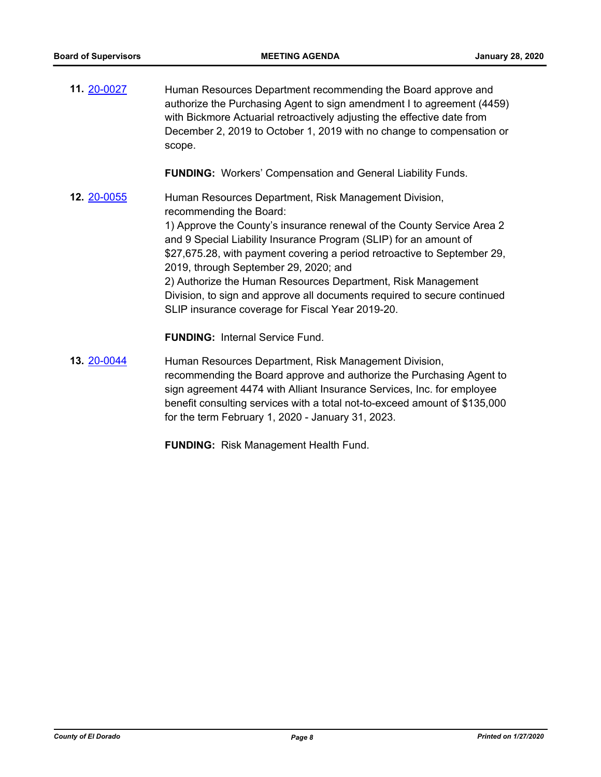| 11. 20-0027        | Human Resources Department recommending the Board approve and<br>authorize the Purchasing Agent to sign amendment I to agreement (4459)<br>with Bickmore Actuarial retroactively adjusting the effective date from<br>December 2, 2019 to October 1, 2019 with no change to compensation or<br>scope. |
|--------------------|-------------------------------------------------------------------------------------------------------------------------------------------------------------------------------------------------------------------------------------------------------------------------------------------------------|
|                    | <b>FUNDING:</b> Workers' Compensation and General Liability Funds.                                                                                                                                                                                                                                    |
| <b>12. 20-0055</b> | Human Resources Department, Risk Management Division,<br>recommending the Board:                                                                                                                                                                                                                      |
|                    | 1) Approve the County's insurance renewal of the County Service Area 2<br>and 9 Special Liability Insurance Program (SLIP) for an amount of<br>\$27,675.28, with payment covering a period retroactive to September 29,<br>2019, through September 29, 2020; and                                      |
|                    | 2) Authorize the Human Resources Department, Risk Management<br>Division, to sign and approve all documents required to secure continued<br>SLIP insurance coverage for Fiscal Year 2019-20.                                                                                                          |
|                    | <b>FUNDING: Internal Service Fund.</b>                                                                                                                                                                                                                                                                |
| 13. 20-0044        | Human Resources Department, Risk Management Division,<br>recommending the Board approve and authorize the Purchasing Agent to<br>sign agreement 4474 with Alliant Insurance Services, Inc. for employee<br>benefit consulting services with a total not-to-exceed amount of \$135,000                 |

**FUNDING:** Risk Management Health Fund.

for the term February 1, 2020 - January 31, 2023.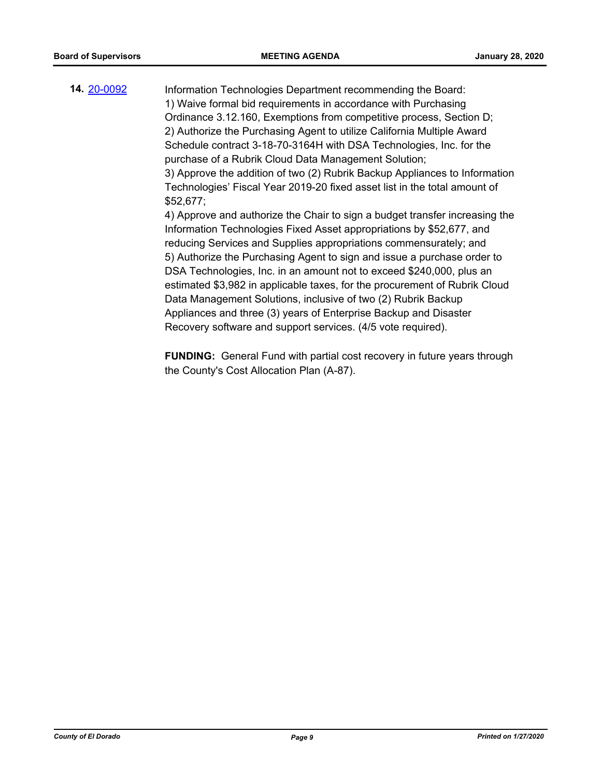**14.** [20-0092](http://eldorado.legistar.com/gateway.aspx?m=l&id=/matter.aspx?key=27297) Information Technologies Department recommending the Board: 1) Waive formal bid requirements in accordance with Purchasing Ordinance 3.12.160, Exemptions from competitive process, Section D; 2) Authorize the Purchasing Agent to utilize California Multiple Award Schedule contract 3-18-70-3164H with DSA Technologies, Inc. for the purchase of a Rubrik Cloud Data Management Solution; 3) Approve the addition of two (2) Rubrik Backup Appliances to Information Technologies' Fiscal Year 2019-20 fixed asset list in the total amount of \$52,677; 4) Approve and authorize the Chair to sign a budget transfer increasing the Information Technologies Fixed Asset appropriations by \$52,677, and reducing Services and Supplies appropriations commensurately; and 5) Authorize the Purchasing Agent to sign and issue a purchase order to DSA Technologies, Inc. in an amount not to exceed \$240,000, plus an estimated \$3,982 in applicable taxes, for the procurement of Rubrik Cloud Data Management Solutions, inclusive of two (2) Rubrik Backup Appliances and three (3) years of Enterprise Backup and Disaster

Recovery software and support services. (4/5 vote required).

**FUNDING:** General Fund with partial cost recovery in future years through the County's Cost Allocation Plan (A-87).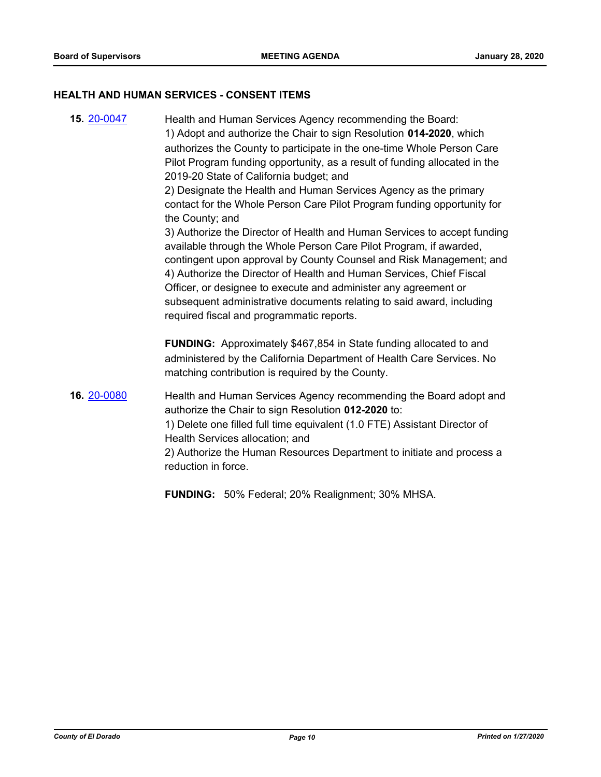#### **HEALTH AND HUMAN SERVICES - CONSENT ITEMS**

**15.** [20-0047](http://eldorado.legistar.com/gateway.aspx?m=l&id=/matter.aspx?key=27252) Health and Human Services Agency recommending the Board: 1) Adopt and authorize the Chair to sign Resolution **014-2020**, which authorizes the County to participate in the one-time Whole Person Care Pilot Program funding opportunity, as a result of funding allocated in the 2019-20 State of California budget; and 2) Designate the Health and Human Services Agency as the primary contact for the Whole Person Care Pilot Program funding opportunity for the County; and 3) Authorize the Director of Health and Human Services to accept funding available through the Whole Person Care Pilot Program, if awarded, contingent upon approval by County Counsel and Risk Management; and 4) Authorize the Director of Health and Human Services, Chief Fiscal Officer, or designee to execute and administer any agreement or subsequent administrative documents relating to said award, including required fiscal and programmatic reports. **FUNDING:** Approximately \$467,854 in State funding allocated to and administered by the California Department of Health Care Services. No matching contribution is required by the County. **16.** [20-0080](http://eldorado.legistar.com/gateway.aspx?m=l&id=/matter.aspx?key=27285) Health and Human Services Agency recommending the Board adopt and authorize the Chair to sign Resolution **012-2020** to: 1) Delete one filled full time equivalent (1.0 FTE) Assistant Director of Health Services allocation; and 2) Authorize the Human Resources Department to initiate and process a reduction in force.

**FUNDING:** 50% Federal; 20% Realignment; 30% MHSA.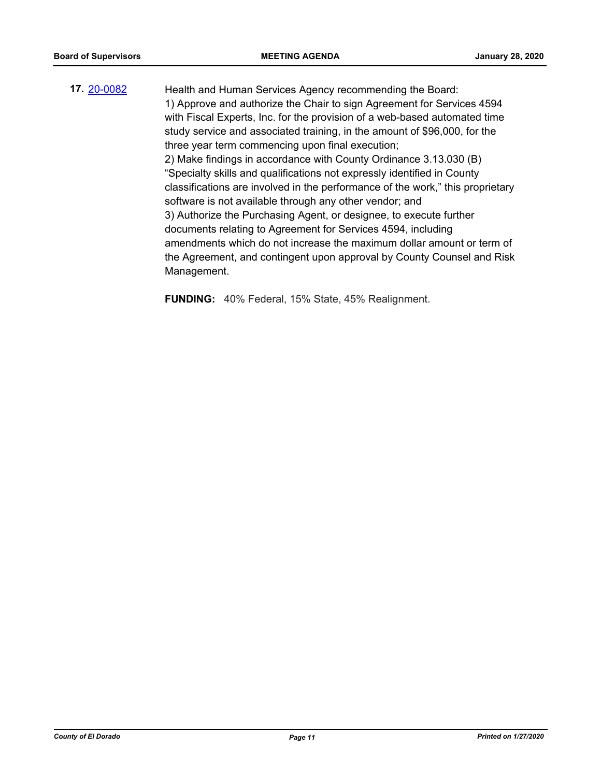**17.** [20-0082](http://eldorado.legistar.com/gateway.aspx?m=l&id=/matter.aspx?key=27287) Health and Human Services Agency recommending the Board: 1) Approve and authorize the Chair to sign Agreement for Services 4594 with Fiscal Experts, Inc. for the provision of a web-based automated time study service and associated training, in the amount of \$96,000, for the three year term commencing upon final execution; 2) Make findings in accordance with County Ordinance 3.13.030 (B) "Specialty skills and qualifications not expressly identified in County classifications are involved in the performance of the work," this proprietary software is not available through any other vendor; and 3) Authorize the Purchasing Agent, or designee, to execute further documents relating to Agreement for Services 4594, including amendments which do not increase the maximum dollar amount or term of the Agreement, and contingent upon approval by County Counsel and Risk Management.

**FUNDING:** 40% Federal, 15% State, 45% Realignment.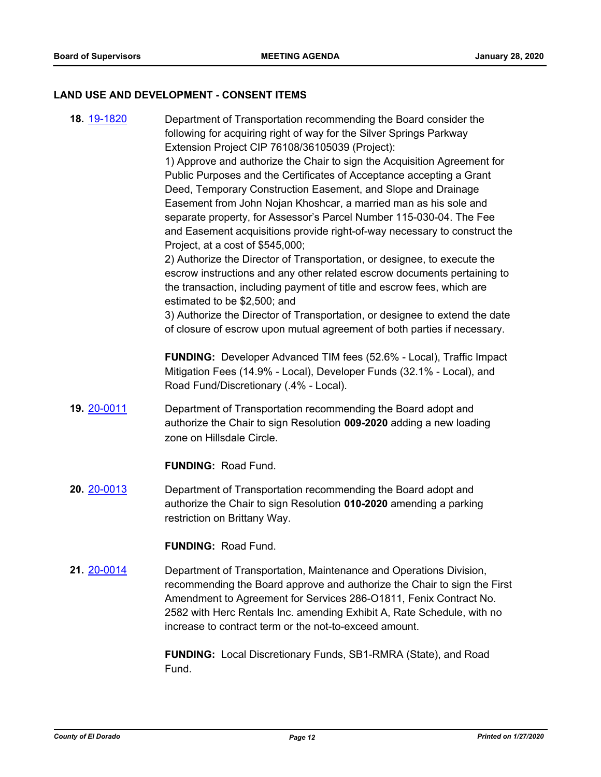## **LAND USE AND DEVELOPMENT - CONSENT ITEMS**

| 18. 19-1820 | Department of Transportation recommending the Board consider the<br>following for acquiring right of way for the Silver Springs Parkway<br>Extension Project CIP 76108/36105039 (Project):<br>1) Approve and authorize the Chair to sign the Acquisition Agreement for<br>Public Purposes and the Certificates of Acceptance accepting a Grant<br>Deed, Temporary Construction Easement, and Slope and Drainage<br>Easement from John Nojan Khoshcar, a married man as his sole and<br>separate property, for Assessor's Parcel Number 115-030-04. The Fee<br>and Easement acquisitions provide right-of-way necessary to construct the<br>Project, at a cost of \$545,000;<br>2) Authorize the Director of Transportation, or designee, to execute the<br>escrow instructions and any other related escrow documents pertaining to<br>the transaction, including payment of title and escrow fees, which are<br>estimated to be \$2,500; and<br>3) Authorize the Director of Transportation, or designee to extend the date<br>of closure of escrow upon mutual agreement of both parties if necessary. |
|-------------|----------------------------------------------------------------------------------------------------------------------------------------------------------------------------------------------------------------------------------------------------------------------------------------------------------------------------------------------------------------------------------------------------------------------------------------------------------------------------------------------------------------------------------------------------------------------------------------------------------------------------------------------------------------------------------------------------------------------------------------------------------------------------------------------------------------------------------------------------------------------------------------------------------------------------------------------------------------------------------------------------------------------------------------------------------------------------------------------------------|
|             | FUNDING: Developer Advanced TIM fees (52.6% - Local), Traffic Impact<br>Mitigation Fees (14.9% - Local), Developer Funds (32.1% - Local), and<br>Road Fund/Discretionary (.4% - Local).                                                                                                                                                                                                                                                                                                                                                                                                                                                                                                                                                                                                                                                                                                                                                                                                                                                                                                                  |
| 19. 20-0011 | Department of Transportation recommending the Board adopt and<br>authorize the Chair to sign Resolution 009-2020 adding a new loading<br>zone on Hillsdale Circle.                                                                                                                                                                                                                                                                                                                                                                                                                                                                                                                                                                                                                                                                                                                                                                                                                                                                                                                                       |
|             | <b>FUNDING: Road Fund.</b>                                                                                                                                                                                                                                                                                                                                                                                                                                                                                                                                                                                                                                                                                                                                                                                                                                                                                                                                                                                                                                                                               |
| 20. 20-0013 | Department of Transportation recommending the Board adopt and<br>authorize the Chair to sign Resolution 010-2020 amending a parking<br>restriction on Brittany Way.                                                                                                                                                                                                                                                                                                                                                                                                                                                                                                                                                                                                                                                                                                                                                                                                                                                                                                                                      |
|             | <b>FUNDING: Road Fund.</b>                                                                                                                                                                                                                                                                                                                                                                                                                                                                                                                                                                                                                                                                                                                                                                                                                                                                                                                                                                                                                                                                               |
| 21. 20-0014 | Department of Transportation, Maintenance and Operations Division,<br>recommending the Board approve and authorize the Chair to sign the First<br>Amendment to Agreement for Services 286-O1811, Fenix Contract No.<br>2582 with Herc Rentals Inc. amending Exhibit A, Rate Schedule, with no<br>increase to contract term or the not-to-exceed amount.                                                                                                                                                                                                                                                                                                                                                                                                                                                                                                                                                                                                                                                                                                                                                  |
|             | <b>FUNDING:</b> Local Discretionary Funds, SB1-RMRA (State), and Road<br>Fund.                                                                                                                                                                                                                                                                                                                                                                                                                                                                                                                                                                                                                                                                                                                                                                                                                                                                                                                                                                                                                           |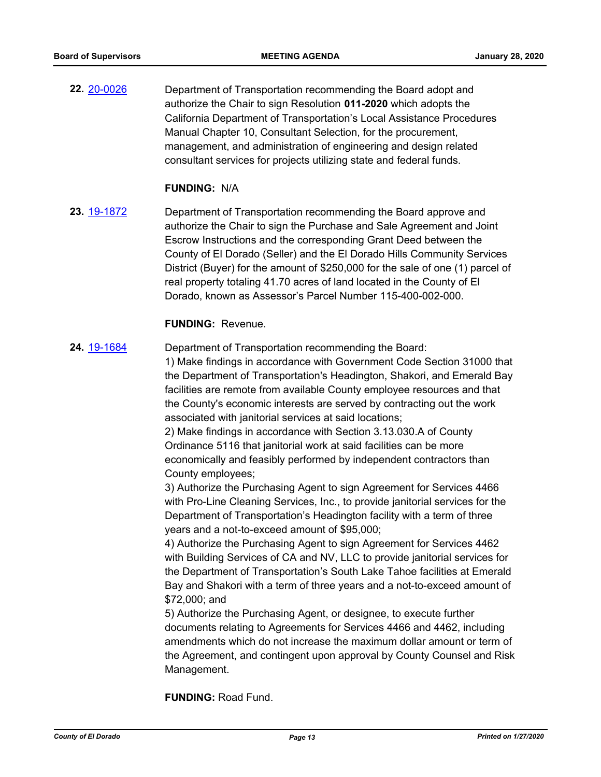**22.** [20-0026](http://eldorado.legistar.com/gateway.aspx?m=l&id=/matter.aspx?key=27230) Department of Transportation recommending the Board adopt and authorize the Chair to sign Resolution **011-2020** which adopts the California Department of Transportation's Local Assistance Procedures Manual Chapter 10, Consultant Selection, for the procurement, management, and administration of engineering and design related consultant services for projects utilizing state and federal funds.

#### **FUNDING:** N/A

**23.** [19-1872](http://eldorado.legistar.com/gateway.aspx?m=l&id=/matter.aspx?key=27196) Department of Transportation recommending the Board approve and authorize the Chair to sign the Purchase and Sale Agreement and Joint Escrow Instructions and the corresponding Grant Deed between the County of El Dorado (Seller) and the El Dorado Hills Community Services District (Buyer) for the amount of \$250,000 for the sale of one (1) parcel of real property totaling 41.70 acres of land located in the County of El Dorado, known as Assessor's Parcel Number 115-400-002-000.

#### **FUNDING:** Revenue.

**24.** [19-1684](http://eldorado.legistar.com/gateway.aspx?m=l&id=/matter.aspx?key=27008) Department of Transportation recommending the Board:

1) Make findings in accordance with Government Code Section 31000 that the Department of Transportation's Headington, Shakori, and Emerald Bay facilities are remote from available County employee resources and that the County's economic interests are served by contracting out the work associated with janitorial services at said locations;

2) Make findings in accordance with Section 3.13.030.A of County Ordinance 5116 that janitorial work at said facilities can be more economically and feasibly performed by independent contractors than County employees;

3) Authorize the Purchasing Agent to sign Agreement for Services 4466 with Pro-Line Cleaning Services, Inc., to provide janitorial services for the Department of Transportation's Headington facility with a term of three years and a not-to-exceed amount of \$95,000;

4) Authorize the Purchasing Agent to sign Agreement for Services 4462 with Building Services of CA and NV, LLC to provide janitorial services for the Department of Transportation's South Lake Tahoe facilities at Emerald Bay and Shakori with a term of three years and a not-to-exceed amount of \$72,000; and

5) Authorize the Purchasing Agent, or designee, to execute further documents relating to Agreements for Services 4466 and 4462, including amendments which do not increase the maximum dollar amount or term of the Agreement, and contingent upon approval by County Counsel and Risk Management.

**FUNDING:** Road Fund.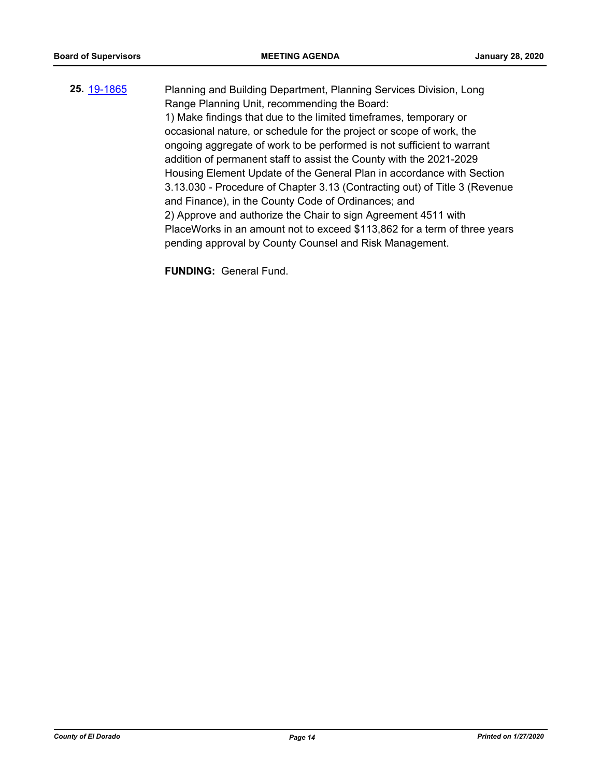**25.** [19-1865](http://eldorado.legistar.com/gateway.aspx?m=l&id=/matter.aspx?key=27189) Planning and Building Department, Planning Services Division, Long Range Planning Unit, recommending the Board: 1) Make findings that due to the limited timeframes, temporary or occasional nature, or schedule for the project or scope of work, the ongoing aggregate of work to be performed is not sufficient to warrant addition of permanent staff to assist the County with the 2021-2029 Housing Element Update of the General Plan in accordance with Section 3.13.030 - Procedure of Chapter 3.13 (Contracting out) of Title 3 (Revenue and Finance), in the County Code of Ordinances; and 2) Approve and authorize the Chair to sign Agreement 4511 with PlaceWorks in an amount not to exceed \$113,862 for a term of three years pending approval by County Counsel and Risk Management.

**FUNDING:** General Fund.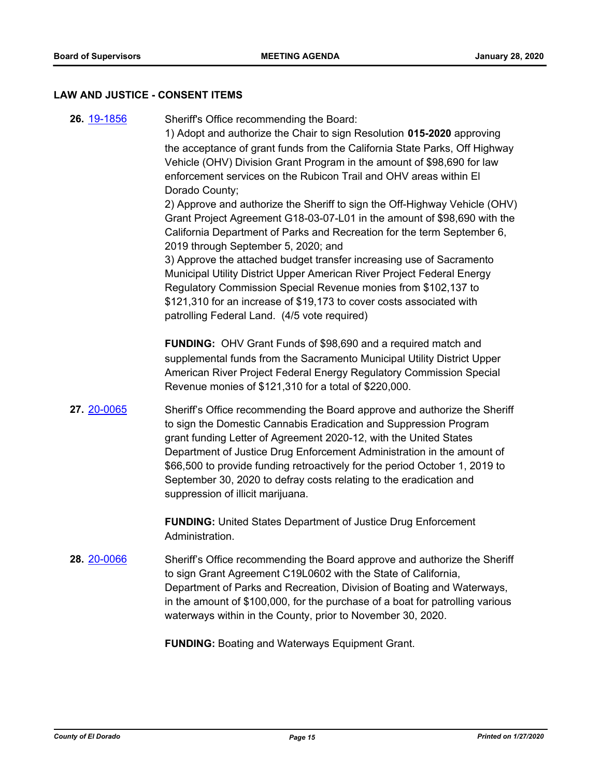#### **LAW AND JUSTICE - CONSENT ITEMS**

**26.** [19-1856](http://eldorado.legistar.com/gateway.aspx?m=l&id=/matter.aspx?key=27180) Sheriff's Office recommending the Board: 1) Adopt and authorize the Chair to sign Resolution **015-2020** approving the acceptance of grant funds from the California State Parks, Off Highway Vehicle (OHV) Division Grant Program in the amount of \$98,690 for law enforcement services on the Rubicon Trail and OHV areas within El Dorado County; 2) Approve and authorize the Sheriff to sign the Off-Highway Vehicle (OHV) Grant Project Agreement G18-03-07-L01 in the amount of \$98,690 with the California Department of Parks and Recreation for the term September 6, 2019 through September 5, 2020; and 3) Approve the attached budget transfer increasing use of Sacramento Municipal Utility District Upper American River Project Federal Energy Regulatory Commission Special Revenue monies from \$102,137 to \$121,310 for an increase of \$19,173 to cover costs associated with patrolling Federal Land. (4/5 vote required) **FUNDING:** OHV Grant Funds of \$98,690 and a required match and supplemental funds from the Sacramento Municipal Utility District Upper American River Project Federal Energy Regulatory Commission Special Revenue monies of \$121,310 for a total of \$220,000. **27.** [20-0065](http://eldorado.legistar.com/gateway.aspx?m=l&id=/matter.aspx?key=27270) Sheriff's Office recommending the Board approve and authorize the Sheriff to sign the Domestic Cannabis Eradication and Suppression Program grant funding Letter of Agreement 2020-12, with the United States Department of Justice Drug Enforcement Administration in the amount of \$66,500 to provide funding retroactively for the period October 1, 2019 to September 30, 2020 to defray costs relating to the eradication and suppression of illicit marijuana. **FUNDING:** United States Department of Justice Drug Enforcement Administration. **28.** [20-0066](http://eldorado.legistar.com/gateway.aspx?m=l&id=/matter.aspx?key=27271) Sheriff's Office recommending the Board approve and authorize the Sheriff to sign Grant Agreement C19L0602 with the State of California, Department of Parks and Recreation, Division of Boating and Waterways, in the amount of \$100,000, for the purchase of a boat for patrolling various waterways within in the County, prior to November 30, 2020. **FUNDING:** Boating and Waterways Equipment Grant.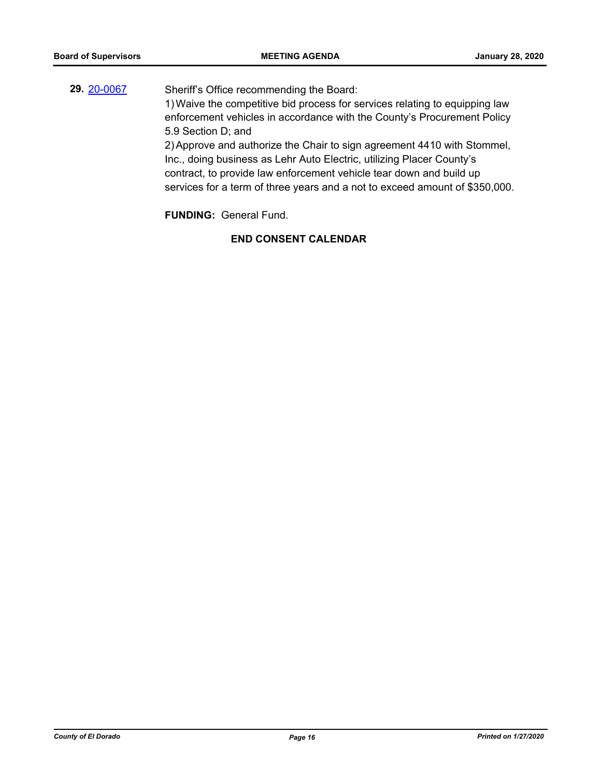**29.** [20-0067](http://eldorado.legistar.com/gateway.aspx?m=l&id=/matter.aspx?key=27272) Sheriff's Office recommending the Board: 1)Waive the competitive bid process for services relating to equipping law enforcement vehicles in accordance with the County's Procurement Policy 5.9 Section D; and 2)Approve and authorize the Chair to sign agreement 4410 with Stommel, Inc., doing business as Lehr Auto Electric, utilizing Placer County's contract, to provide law enforcement vehicle tear down and build up services for a term of three years and a not to exceed amount of \$350,000.

**FUNDING:** General Fund.

**END CONSENT CALENDAR**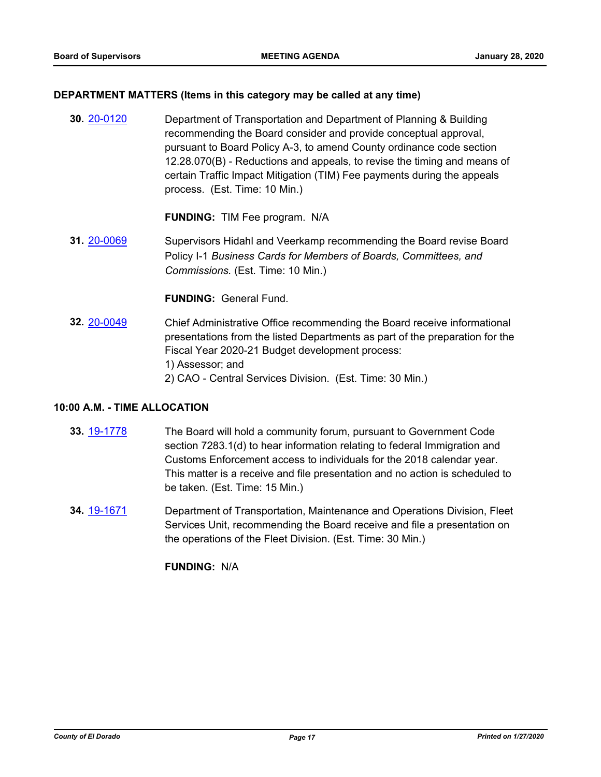#### **DEPARTMENT MATTERS (Items in this category may be called at any time)**

**30.** [20-0120](http://eldorado.legistar.com/gateway.aspx?m=l&id=/matter.aspx?key=27325) Department of Transportation and Department of Planning & Building recommending the Board consider and provide conceptual approval, pursuant to Board Policy A-3, to amend County ordinance code section 12.28.070(B) - Reductions and appeals, to revise the timing and means of certain Traffic Impact Mitigation (TIM) Fee payments during the appeals process. (Est. Time: 10 Min.)

**FUNDING:** TIM Fee program. N/A

**31.** [20-0069](http://eldorado.legistar.com/gateway.aspx?m=l&id=/matter.aspx?key=27274) Supervisors Hidahl and Veerkamp recommending the Board revise Board Policy I-1 *Business Cards for Members of Boards, Committees, and Commissions.* (Est. Time: 10 Min.)

#### **FUNDING:** General Fund.

**32.** [20-0049](http://eldorado.legistar.com/gateway.aspx?m=l&id=/matter.aspx?key=27254) Chief Administrative Office recommending the Board receive informational presentations from the listed Departments as part of the preparation for the Fiscal Year 2020-21 Budget development process: 1) Assessor; and 2) CAO - Central Services Division. (Est. Time: 30 Min.)

#### **10:00 A.M. - TIME ALLOCATION**

- **33.** [19-1778](http://eldorado.legistar.com/gateway.aspx?m=l&id=/matter.aspx?key=27102) The Board will hold a community forum, pursuant to Government Code section 7283.1(d) to hear information relating to federal Immigration and Customs Enforcement access to individuals for the 2018 calendar year. This matter is a receive and file presentation and no action is scheduled to be taken. (Est. Time: 15 Min.)
- **34.** [19-1671](http://eldorado.legistar.com/gateway.aspx?m=l&id=/matter.aspx?key=26995) Department of Transportation, Maintenance and Operations Division, Fleet Services Unit, recommending the Board receive and file a presentation on the operations of the Fleet Division. (Est. Time: 30 Min.)

**FUNDING:** N/A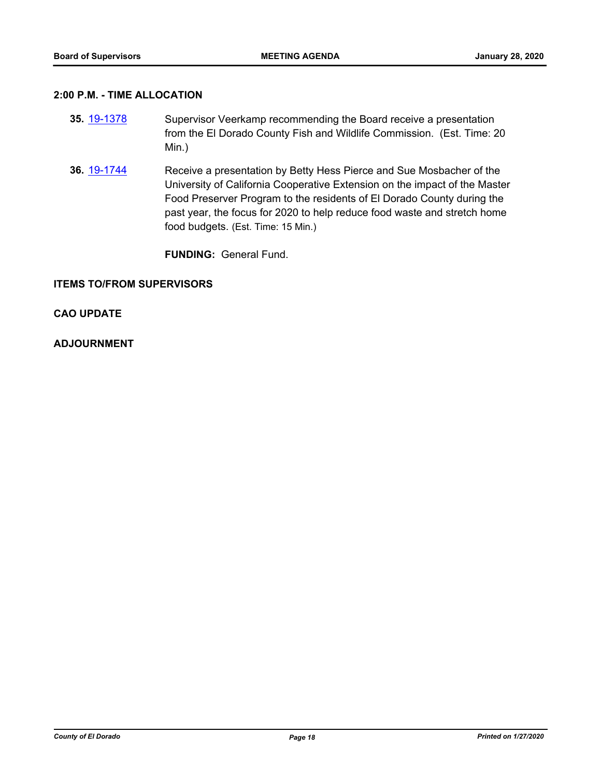#### **2:00 P.M. - TIME ALLOCATION**

- **35.** [19-1378](http://eldorado.legistar.com/gateway.aspx?m=l&id=/matter.aspx?key=26699) Supervisor Veerkamp recommending the Board receive a presentation from the El Dorado County Fish and Wildlife Commission. (Est. Time: 20 Min.)
- **36.** [19-1744](http://eldorado.legistar.com/gateway.aspx?m=l&id=/matter.aspx?key=27068) Receive a presentation by Betty Hess Pierce and Sue Mosbacher of the University of California Cooperative Extension on the impact of the Master Food Preserver Program to the residents of El Dorado County during the past year, the focus for 2020 to help reduce food waste and stretch home food budgets. (Est. Time: 15 Min.)

**FUNDING:** General Fund.

#### **ITEMS TO/FROM SUPERVISORS**

#### **CAO UPDATE**

#### **ADJOURNMENT**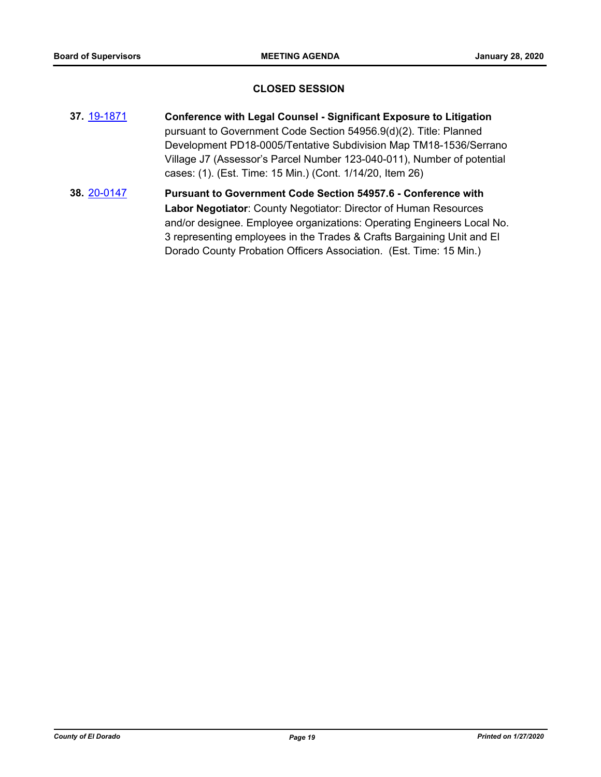#### **CLOSED SESSION**

- **37.** [19-1871](http://eldorado.legistar.com/gateway.aspx?m=l&id=/matter.aspx?key=27195) **Conference with Legal Counsel Significant Exposure to Litigation** pursuant to Government Code Section 54956.9(d)(2). Title: Planned Development PD18-0005/Tentative Subdivision Map TM18-1536/Serrano Village J7 (Assessor's Parcel Number 123-040-011), Number of potential cases: (1). (Est. Time: 15 Min.) (Cont. 1/14/20, Item 26)
- **38.** [20-0147](http://eldorado.legistar.com/gateway.aspx?m=l&id=/matter.aspx?key=27352) **Pursuant to Government Code Section 54957.6 Conference with Labor Negotiator**: County Negotiator: Director of Human Resources and/or designee. Employee organizations: Operating Engineers Local No. 3 representing employees in the Trades & Crafts Bargaining Unit and El Dorado County Probation Officers Association. (Est. Time: 15 Min.)